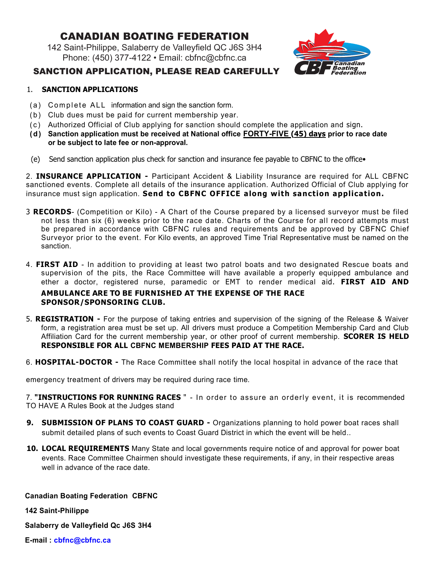### Canadian Boating Federation

142 Saint-Philippe, Salaberry de Valleyfield QC J6S 3H4 Phone: (450) 377-4122 • Email: cbfnc@cbfnc.ca



#### SanCtion aPPLiCation, PLeaSe read CareFULLY

#### 1. **SANCTION APPLICATIONS**

- (a) Complete ALL information and sign the sanction form.
- (b) Club dues must be paid for current membership year.
- ( c ) Authorized Official of Club applying for sanction should complete the application and sign.
- **( d) Sanction application must be received at National office FORTY-FIVE (45) days prior to race date or be subject to late fee or non-approval.**
- (e) Send sanction application plus check for sanction and insurance fee payable to CBFNC to the office •

2. **INSURANCE APPLICATION -** Participant Accident & Liability Insurance are required for ALL CBFNC sanctioned events. Complete all details of the insurance application. Authorized Official of Club applying for insurance must sign application. **Send to CBFNC OFFICE along with sanction application.** 

- 3 **RECORDS** (Competition or Kilo) A Chart of the Course prepared by a licensed surveyor must be filed not less than six (6) weeks prior to the race date. Charts of the Course for all record attempts must be prepared in accordance with CBFNC rules and requirements and be approved by CBFNC Chief Surveyor prior to the event. For Kilo events, an approved Time Trial Representative must be named on the sanction.
- 4. **FIRST AID**  In addition to providing at least two patrol boats and two designated Rescue boats and supervision of the pits, the Race Committee will have available a properly equipped ambulance and ether a doctor, registered nurse, paramedic or EMT to render medical aid. **FIRST AID AND**

#### **AMBULANCE ARE TO BE FURNISHED AT THE EXPENSE OF THE RACE SPONSOR/SPONSORING CLUB.**

- 5. **REGISTRATION** For the purpose of taking entries and supervision of the signing of the Release & Waiver form, a registration area must be set up. All drivers must produce a Competition Membership Card and Club Affiliation Card for the current membership year, or other proof of current membership. **SCORER IS HELD RESPONSIBLE FOR ALL CBFNC MEMBERSHIP FEES PAID AT THE RACE.**
- 6. **HOSPITAL-DOCTOR** The Race Committee shall notify the local hospital in advance of the race that

emergency treatment of drivers may be required during race time.

7. **"INSTRUCTIONS FOR RUNNING RACES** " - In order to assure an orderly event, it is recommended TO HAVE A Rules Book at the Judges stand

- **9. SUBMISSION OF PLANS TO COAST GUARD** Organizations planning to hold power boat races shall submit detailed plans of such events to Coast Guard District in which the event will be held..
- **10. LOCAL REQUIREMENTS** Many State and local governments require notice of and approval for power boat events. Race Committee Chairmen should investigate these requirements, if any, in their respective areas well in advance of the race date.

### **Canadian Boating Federation CBFNC 142 Saint-Philippe**

**Salaberry de Valleyfield Qc J6S 3H4** 

**E-mail : cbfnc@cbfnc.ca**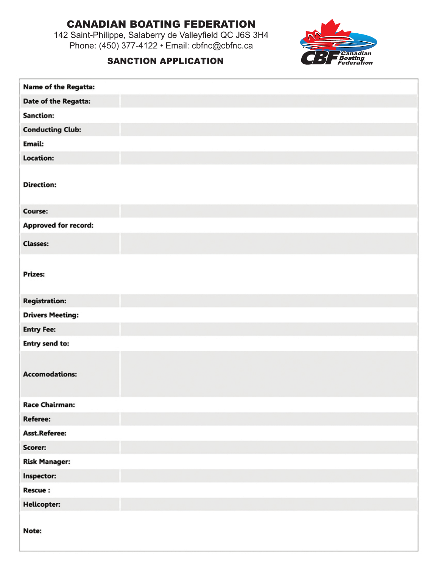# Canadian Boating Federation

142 Saint-Philippe, Salaberry de Valleyfield QC J6S 3H4 Phone: (450) 377-4122 • Email: cbfnc@cbfnc.ca



#### SANCTION APPLICATION

| <b>Name of the Regatta:</b> |  |
|-----------------------------|--|
| Date of the Regatta:        |  |
| <b>Sanction:</b>            |  |
| <b>Conducting Club:</b>     |  |
| Email:                      |  |
| <b>Location:</b>            |  |
| <b>Direction:</b>           |  |
| Course:                     |  |
| <b>Approved for record:</b> |  |
| <b>Classes:</b>             |  |
| Prizes:                     |  |
| <b>Registration:</b>        |  |
| <b>Drivers Meeting:</b>     |  |
| <b>Entry Fee:</b>           |  |
| <b>Entry send to:</b>       |  |
| <b>Accomodations:</b>       |  |
| <b>Race Chairman:</b>       |  |
| Referee:                    |  |
| Asst.Referee:               |  |
| Scorer:                     |  |
| <b>Risk Manager:</b>        |  |
| Inspector:                  |  |
| <b>Rescue:</b>              |  |
| <b>Helicopter:</b>          |  |
| Note:                       |  |